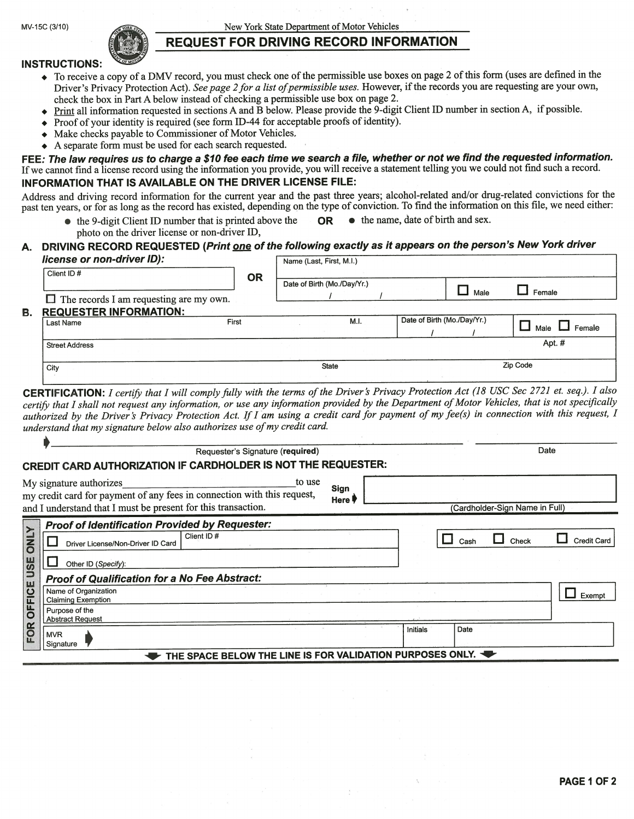MV-15C (3/10) New York State Department of Motor Vehicles

# REQUEST FOR DRIVING RECORD INFORMATION

#### **INSTRUCTIONS:**

- To receive a copy of a DMV record, you must check one of the permissible use boxes on page 2 of this form (uses are defined in the Driver's Privacy Protection Act). See page 2 for a list of permissible uses. However, if the records you are requesting are your own, check the box in Part A below instead of checking a permissible use box on page 2.
- $\blacklozenge$  Print all information requested in sections A and B below. Please provide the 9-digit Client ID number in section A, if possible.
- $\rightarrow$  Proof of your identity is required (see form ID-44 for acceptable proofs of identity).
- . Make checks payable to Commissioner of Motor Vehicles.
- . <sup>A</sup> separate form must be used for each search requested.

FEE: The law requires us to charge a \$10 fee each time we search a file, whether or not we find the requested information. If we cannot find a license record using the information you provide, you will receive a statement telling you we could not find such a record. INFORMATION THAT IS AVAILABLE ON THE DRIVER LICENSE FILE:

Address and driving record information for the current year and the past three years; alcohol-related and/or drug-related convictions for the past ten years, or for as long as the record has existed, depending on the type of conviction. To find the information on this file, we need either:

• the 9-digit Client ID number that is printed above the **OR** • the name, date of birth and sex. photo on the driver license or non-driver ID,

### DRIVING RECORD REQUESTED (Print one of the following exactly as it appears on the person's New York driver

| license or non-driver ID):                     |           | Name (Last, First, M.I.) |                             |  |                             |      |                    |  |  |
|------------------------------------------------|-----------|--------------------------|-----------------------------|--|-----------------------------|------|--------------------|--|--|
| Client ID#                                     | <b>OR</b> |                          | Date of Birth (Mo./Day/Yr.) |  |                             | Male | Female             |  |  |
| $\Box$ The records I am requesting are my own. |           |                          |                             |  |                             |      |                    |  |  |
| <b>REQUESTER INFORMATION:</b>                  |           |                          |                             |  |                             |      |                    |  |  |
| Last Name                                      | First     |                          | M.I.                        |  | Date of Birth (Mo./Day/Yr.) |      | Male $\Box$ Female |  |  |
| <b>Street Address</b>                          |           |                          |                             |  |                             |      | Apt. #             |  |  |
| City                                           |           | <b>State</b>             |                             |  | Zip Code                    |      |                    |  |  |
|                                                |           |                          |                             |  |                             |      |                    |  |  |

CERTIFICATION: I certify that I will comply fully with the terms of the Driver's Privacy Protection Act (18 USC Sec 2721 et. seq.). I also certify that I shall not request any information, or use any information provided by the Department of Motor Vehicles, that is not specifically authorized by the Driver's Privacy Protection Act. If I am using a credit card for payment of my fee(s) in connection with this request, I understand that my signature below also authorizes use of my credit card.

|                                                               | Requester's Signature (required)                                                                                                                                              |                | Date |          |      |                                |                    |  |  |  |
|---------------------------------------------------------------|-------------------------------------------------------------------------------------------------------------------------------------------------------------------------------|----------------|------|----------|------|--------------------------------|--------------------|--|--|--|
| CREDIT CARD AUTHORIZATION IF CARDHOLDER IS NOT THE REQUESTER: |                                                                                                                                                                               |                |      |          |      |                                |                    |  |  |  |
|                                                               | My signature authorizes<br>to use<br>my credit card for payment of any fees in connection with this request,<br>and I understand that I must be present for this transaction. | Sign<br>Here ! |      |          |      | (Cardholder-Sign Name in Full) |                    |  |  |  |
|                                                               | <b>Proof of Identification Provided by Requester:</b>                                                                                                                         |                |      |          |      |                                |                    |  |  |  |
| <b>ONLY</b>                                                   | Client ID#<br>Driver License/Non-Driver ID Card                                                                                                                               |                |      |          | Cash | Check                          | <b>Credit Card</b> |  |  |  |
|                                                               | Other ID (Specify):                                                                                                                                                           |                |      |          |      |                                |                    |  |  |  |
|                                                               | <b>Proof of Qualification for a No Fee Abstract:</b>                                                                                                                          |                |      |          |      |                                |                    |  |  |  |
| OFFICE USE                                                    | Name of Organization<br><b>Claiming Exemption</b>                                                                                                                             |                |      |          |      |                                | Exempt             |  |  |  |
|                                                               | Purpose of the<br><b>Abstract Request</b>                                                                                                                                     |                |      |          |      |                                |                    |  |  |  |
| FOR                                                           | <b>MVR</b><br>Signature                                                                                                                                                       |                |      | Initials | Date |                                |                    |  |  |  |
| THE SPACE BELOW THE LINE IS FOR VALIDATION PURPOSES ONLY.     |                                                                                                                                                                               |                |      |          |      |                                |                    |  |  |  |